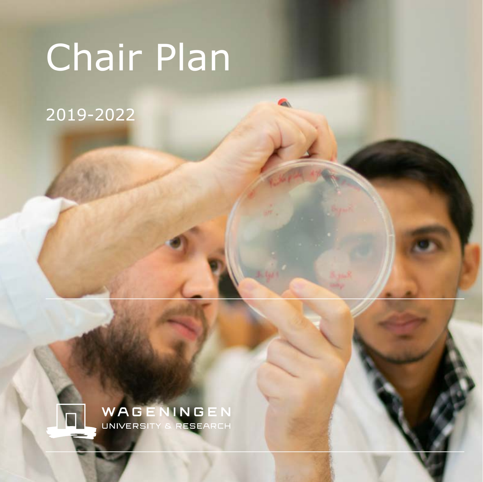# Chair Plan

# 2019-2022

1 | Chair Plan 2019-2022 Wageningen University & Research | 1



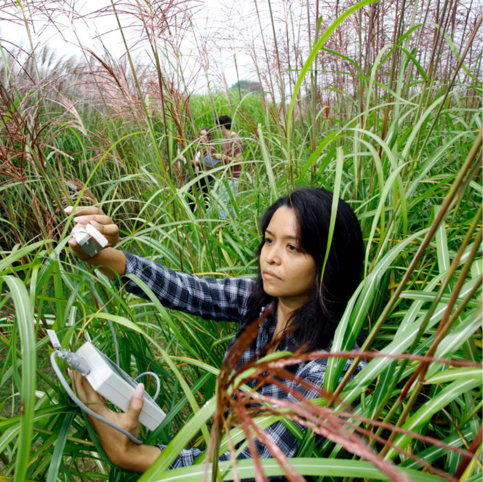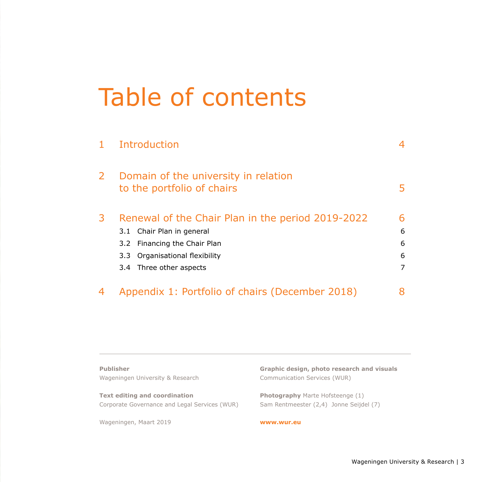# Table of contents

|   | Introduction                                                                                                                                                                   |                       |
|---|--------------------------------------------------------------------------------------------------------------------------------------------------------------------------------|-----------------------|
|   | Domain of the university in relation<br>to the portfolio of chairs                                                                                                             |                       |
| 3 | Renewal of the Chair Plan in the period 2019-2022<br>3.1 Chair Plan in general<br>3.2 Financing the Chair Plan<br>3.3 Organisational flexibility<br>Three other aspects<br>3.4 | 6<br>6<br>6<br>6<br>7 |
|   | Appendix 1: Portfolio of chairs (December 2018)                                                                                                                                |                       |

**Publisher** Wageningen University & Research **Text editing and coordination** Corporate Governance and Legal Services (WUR)

Wageningen, Maart 2019

**Graphic design, photo research and visuals** Communication Services (WUR)

**Photography** Marte Hofsteenge (1) Sam Rentmeester (2,4) Jonne Seijdel (7)

#### **www.wur.eu**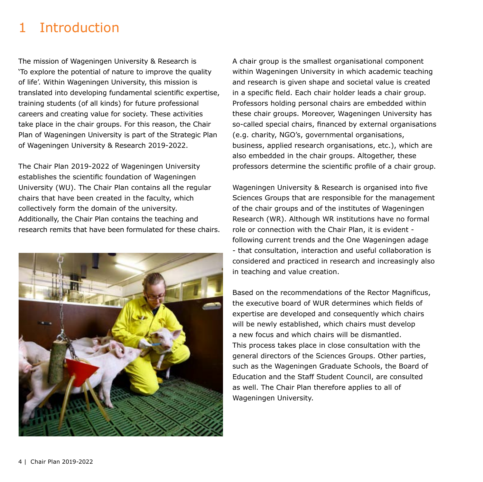### 1 Introduction

The mission of Wageningen University & Research is 'To explore the potential of nature to improve the quality of life'. Within Wageningen University, this mission is translated into developing fundamental scientific expertise, training students (of all kinds) for future professional careers and creating value for society. These activities take place in the chair groups. For this reason, the Chair Plan of Wageningen University is part of the Strategic Plan of Wageningen University & Research 2019-2022.

The Chair Plan 2019-2022 of Wageningen University establishes the scientific foundation of Wageningen University (WU). The Chair Plan contains all the regular chairs that have been created in the faculty, which collectively form the domain of the university. Additionally, the Chair Plan contains the teaching and research remits that have been formulated for these chairs.



A chair group is the smallest organisational component within Wageningen University in which academic teaching and research is given shape and societal value is created in a specific field. Each chair holder leads a chair group. Professors holding personal chairs are embedded within these chair groups. Moreover, Wageningen University has so-called special chairs, financed by external organisations (e.g. charity, NGO's, governmental organisations, business, applied research organisations, etc.), which are also embedded in the chair groups. Altogether, these professors determine the scientific profile of a chair group.

Wageningen University & Research is organised into five Sciences Groups that are responsible for the management of the chair groups and of the institutes of Wageningen Research (WR). Although WR institutions have no formal role or connection with the Chair Plan, it is evident following current trends and the One Wageningen adage - that consultation, interaction and useful collaboration is considered and practiced in research and increasingly also in teaching and value creation.

Based on the recommendations of the Rector Magnificus, the executive board of WUR determines which fields of expertise are developed and consequently which chairs will be newly established, which chairs must develop a new focus and which chairs will be dismantled. This process takes place in close consultation with the general directors of the Sciences Groups. Other parties, such as the Wageningen Graduate Schools, the Board of Education and the Staff Student Council, are consulted as well. The Chair Plan therefore applies to all of Wageningen University.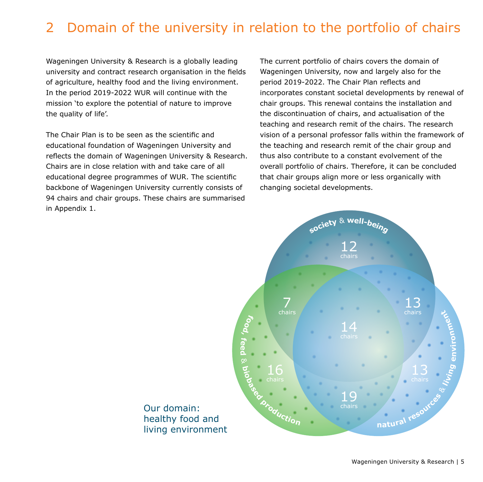### 2 Domain of the university in relation to the portfolio of chairs

Wageningen University & Research is a globally leading university and contract research organisation in the fields of agriculture, healthy food and the living environment. In the period 2019-2022 WUR will continue with the mission 'to explore the potential of nature to improve the quality of life'.

The Chair Plan is to be seen as the scientific and educational foundation of Wageningen University and reflects the domain of Wageningen University & Research. Chairs are in close relation with and take care of all educational degree programmes of WUR. The scientific backbone of Wageningen University currently consists of 94 chairs and chair groups. These chairs are summarised in Appendix 1.

The current portfolio of chairs covers the domain of Wageningen University, now and largely also for the period 2019-2022. The Chair Plan reflects and incorporates constant societal developments by renewal of chair groups. This renewal contains the installation and the discontinuation of chairs, and actualisation of the teaching and research remit of the chairs. The research vision of a personal professor falls within the framework of the teaching and research remit of the chair group and thus also contribute to a constant evolvement of the overall portfolio of chairs. Therefore, it can be concluded that chair groups align more or less organically with changing societal developments.

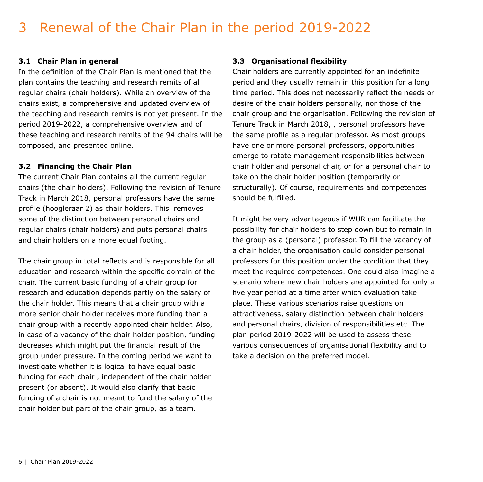#### **3.1 Chair Plan in general**

In the definition of the Chair Plan is mentioned that the plan contains the teaching and research remits of all regular chairs (chair holders). While an overview of the chairs exist, a comprehensive and updated overview of the teaching and research remits is not yet present. In the period 2019-2022, a comprehensive overview and of these teaching and research remits of the 94 chairs will be composed, and presented online.

#### **3.2 Financing the Chair Plan**

The current Chair Plan contains all the current regular chairs (the chair holders). Following the revision of Tenure Track in March 2018, personal professors have the same profile (hoogleraar 2) as chair holders. This removes some of the distinction between personal chairs and regular chairs (chair holders) and puts personal chairs and chair holders on a more equal footing.

The chair group in total reflects and is responsible for all education and research within the specific domain of the chair. The current basic funding of a chair group for research and education depends partly on the salary of the chair holder. This means that a chair group with a more senior chair holder receives more funding than a chair group with a recently appointed chair holder. Also, in case of a vacancy of the chair holder position, funding decreases which might put the financial result of the group under pressure. In the coming period we want to investigate whether it is logical to have equal basic funding for each chair , independent of the chair holder present (or absent). It would also clarify that basic funding of a chair is not meant to fund the salary of the chair holder but part of the chair group, as a team.

#### **3.3 Organisational flexibility**

Chair holders are currently appointed for an indefinite period and they usually remain in this position for a long time period. This does not necessarily reflect the needs or desire of the chair holders personally, nor those of the chair group and the organisation. Following the revision of Tenure Track in March 2018, , personal professors have the same profile as a regular professor. As most groups have one or more personal professors, opportunities emerge to rotate management responsibilities between chair holder and personal chair, or for a personal chair to take on the chair holder position (temporarily or structurally). Of course, requirements and competences should be fulfilled.

It might be very advantageous if WUR can facilitate the possibility for chair holders to step down but to remain in the group as a (personal) professor. To fill the vacancy of a chair holder, the organisation could consider personal professors for this position under the condition that they meet the required competences. One could also imagine a scenario where new chair holders are appointed for only a five year period at a time after which evaluation take place. These various scenarios raise questions on attractiveness, salary distinction between chair holders and personal chairs, division of responsibilities etc. The plan period 2019-2022 will be used to assess these various consequences of organisational flexibility and to take a decision on the preferred model.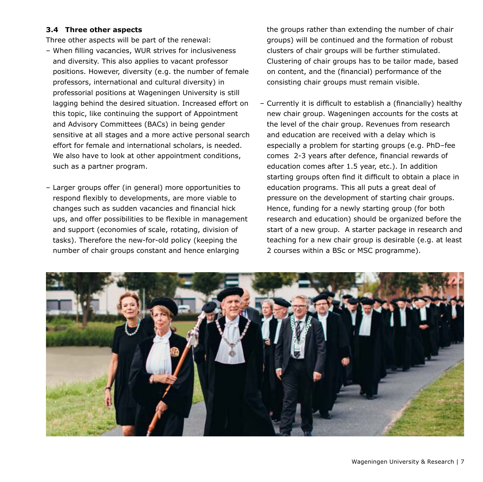#### **3.4 Three other aspects**

Three other aspects will be part of the renewal:

- When filling vacancies, WUR strives for inclusiveness and diversity. This also applies to vacant professor positions. However, diversity (e.g. the number of female professors, international and cultural diversity) in professorial positions at Wageningen University is still lagging behind the desired situation. Increased effort on this topic, like continuing the support of Appointment and Advisory Committees (BACs) in being gender sensitive at all stages and a more active personal search effort for female and international scholars, is needed. We also have to look at other appointment conditions, such as a partner program.
- Larger groups offer (in general) more opportunities to respond flexibly to developments, are more viable to changes such as sudden vacancies and financial hick ups, and offer possibilities to be flexible in management and support (economies of scale, rotating, division of tasks). Therefore the new-for-old policy (keeping the number of chair groups constant and hence enlarging

the groups rather than extending the number of chair groups) will be continued and the formation of robust clusters of chair groups will be further stimulated. Clustering of chair groups has to be tailor made, based on content, and the (financial) performance of the consisting chair groups must remain visible.

– Currently it is difficult to establish a (financially) healthy new chair group. Wageningen accounts for the costs at the level of the chair group. Revenues from research and education are received with a delay which is especially a problem for starting groups (e.g. PhD–fee comes 2-3 years after defence, financial rewards of education comes after 1.5 year, etc.). In addition starting groups often find it difficult to obtain a place in education programs. This all puts a great deal of pressure on the development of starting chair groups. Hence, funding for a newly starting group (for both research and education) should be organized before the start of a new group. A starter package in research and teaching for a new chair group is desirable (e.g. at least 2 courses within a BSc or MSC programme).

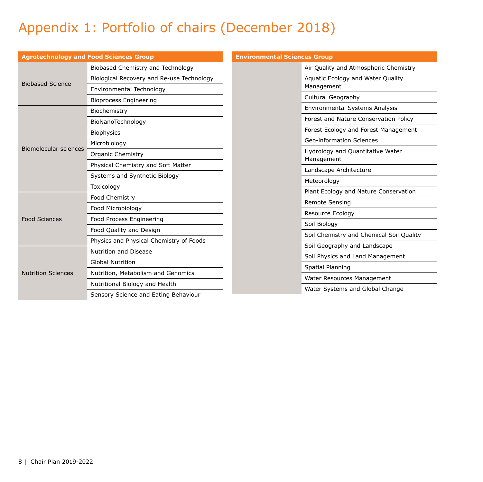## Appendix 1: Portfolio of chairs (December 2018)

|                              | <b>Agrotechnology and Food Sciences Group</b> |
|------------------------------|-----------------------------------------------|
|                              | Biobased Chemistry and Technology             |
| <b>Biobased Science</b>      | Biological Recovery and Re-use Technology     |
|                              | Environmental Technology                      |
|                              | <b>Bioprocess Engineering</b>                 |
|                              | Biochemistry                                  |
|                              | BioNanoTechnology                             |
|                              | <b>Biophysics</b>                             |
|                              | Microbiology                                  |
| <b>Biomolecular sciences</b> | Organic Chemistry                             |
|                              | Physical Chemistry and Soft Matter            |
|                              | Systems and Synthetic Biology                 |
|                              | Toxicology                                    |
|                              | Food Chemistry                                |
|                              | Food Microbiology                             |
| <b>Food Sciences</b>         | Food Process Engineering                      |
|                              | Food Quality and Design                       |
|                              | Physics and Physical Chemistry of Foods       |
|                              | Nutrition and Disease                         |
|                              | <b>Global Nutrition</b>                       |
| <b>Nutrition Sciences</b>    | Nutrition, Metabolism and Genomics            |
|                              | Nutritional Biology and Health                |
|                              | Sensory Science and Eating Behaviour          |

#### **Environmental Sciences Group**

| Air Quality and Atmospheric Chemistry           |
|-------------------------------------------------|
| Aquatic Ecology and Water Quality<br>Management |
| Cultural Geography                              |
| <b>Environmental Systems Analysis</b>           |
| Forest and Nature Conservation Policy           |
| Forest Ecology and Forest Management            |
| Geo-information Sciences                        |
| Hydrology and Quantitative Water<br>Management  |
| Landscape Architecture                          |
| Meteorology                                     |
| Plant Ecology and Nature Conservation           |
| Remote Sensing                                  |
| Resource Ecology                                |
| Soil Biology                                    |
| Soil Chemistry and Chemical Soil Quality        |
| Soil Geography and Landscape                    |
| Soil Physics and Land Management                |
| Spatial Planning                                |
| Water Resources Management                      |
| Water Systems and Global Change                 |